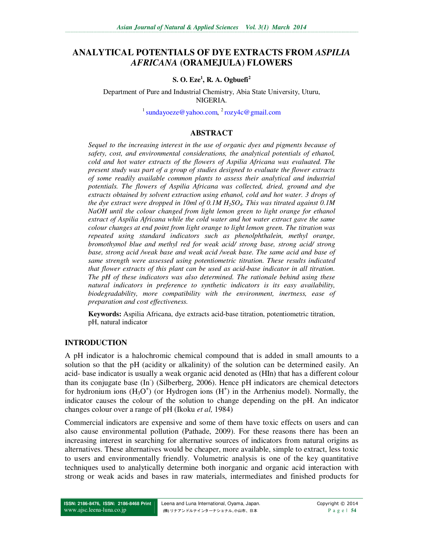# **ANALYTICAL POTENTIALS OF DYE EXTRACTS FROM** *ASPILIA AFRICANA* **(ORAMEJULA) FLOWERS**

## **S. O. Eze<sup>1</sup> , R. A. Ogbuefi<sup>2</sup>**

Department of Pure and Industrial Chemistry, Abia State University, Uturu, NIGERIA.

 $^{1}$  sundayoeze@yahoo.com,  $^{2}$  rozy4c@gmail.com

## **ABSTRACT**

*Sequel to the increasing interest in the use of organic dyes and pigments because of safety, cost, and environmental considerations, the analytical potentials of ethanol, cold and hot water extracts of the flowers of Aspilia Africana was evaluated. The present study was part of a group of studies designed to evaluate the flower extracts of some readily available common plants to assess their analytical and industrial potentials. The flowers of Aspilia Africana was collected, dried, ground and dye extracts obtained by solvent extraction using ethanol, cold and hot water. 3 drops of the dye extract were dropped in 10ml of 0.1M H2SO4. This was titrated against 0.1M NaOH until the colour changed from light lemon green to light orange for ethanol extract of Aspilia Africana while the cold water and hot water extract gave the same colour changes at end point from light orange to light lemon green. The titration was repeated using standard indicators such as phenolphthalein, methyl orange, bromothymol blue and methyl red for weak acid/ strong base, strong acid/ strong base, strong acid /weak base and weak acid /weak base. The same acid and base of same strength were assessed using potentiometric titration. These results indicated that flower extracts of this plant can be used as acid-base indicator in all titration. The pH of these indicators was also determined. The rationale behind using these natural indicators in preference to synthetic indicators is its easy availability, biodegradability, more compatibility with the environment, inertness, ease of preparation and cost effectiveness.* 

**Keywords:** Aspilia Africana, dye extracts acid-base titration, potentiometric titration, pH, natural indicator

#### **INTRODUCTION**

A pH indicator is a halochromic chemical compound that is added in small amounts to a solution so that the pH (acidity or alkalinity) of the solution can be determined easily. An acid- base indicator is usually a weak organic acid denoted as (HIn) that has a different colour than its conjugate base (In<sup>-</sup>) (Silberberg, 2006). Hence pH indicators are chemical detectors for hydronium ions  $(H<sub>3</sub>O<sup>+</sup>)$  (or Hydrogen ions  $(H<sup>+</sup>)$  in the Arrhenius model). Normally, the indicator causes the colour of the solution to change depending on the pH. An indicator changes colour over a range of pH (Ikoku *et al,* 1984)

Commercial indicators are expensive and some of them have toxic effects on users and can also cause environmental pollution (Pathade, 2009). For these reasons there has been an increasing interest in searching for alternative sources of indicators from natural origins as alternatives. These alternatives would be cheaper, more available, simple to extract, less toxic to users and environmentally friendly. Volumetric analysis is one of the key quantitative techniques used to analytically determine both inorganic and organic acid interaction with strong or weak acids and bases in raw materials, intermediates and finished products for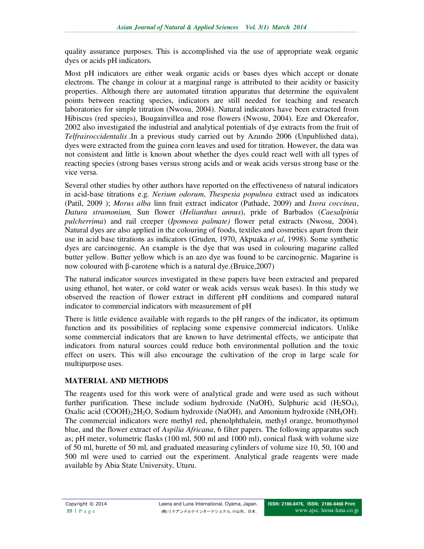quality assurance purposes. This is accomplished via the use of appropriate weak organic dyes or acids pH indicators.

Most pH indicators are either weak organic acids or bases dyes which accept or donate electrons. The change in colour at a marginal range is attributed to their acidity or basicity properties. Although there are automated titration apparatus that determine the equivalent points between reacting species, indicators are still needed for teaching and research laboratories for simple titration (Nwosu, 2004). Natural indicators have been extracted from Hibiscus (red species), Bougainvillea and rose flowers (Nwosu, 2004). Eze and Okereafor, 2002 also investigated the industrial and analytical potentials of dye extracts from the fruit of *Telfrairoccidentalis* .In a previous study carried out by Azundo 2006 (Unpublished data), dyes were extracted from the guinea corn leaves and used for titration. However, the data was not consistent and little is known about whether the dyes could react well with all types of reacting species (strong bases versus strong acids and or weak acids versus strong base or the vice versa.

Several other studies by other authors have reported on the effectiveness of natural indicators in acid-base titrations e.g. *Nerium odorum*, *Thespesia populnea* extract used as indicators (Patil, 2009 ); *Morus alba* linn fruit extract indicator (Pathade, 2009) and *Ixora coccinea*, *Datura stramonium,* Sun flower (*Helianthus annus*), pride of Barbados (*Caesalpinia pulcherrima*) and rail creeper (*Ipomoea palmate)* flower petal extracts (Nwosu, 2004). Natural dyes are also applied in the colouring of foods, textiles and cosmetics apart from their use in acid base titrations as indicators (Gruden, 1970, Akpuaka *et al*, 1998). Some synthetic dyes are carcinogenic. An example is the dye that was used in colouring magarine called butter yellow. Butter yellow which is an azo dye was found to be carcinogenic. Magarine is now coloured with β-carotene which is a natural dye.(Bruice,2007)

The natural indicator sources investigated in these papers have been extracted and prepared using ethanol, hot water, or cold water or weak acids versus weak bases). In this study we observed the reaction of flower extract in different pH conditions and compared natural indicator to commercial indicators with measurement of pH

There is little evidence available with regards to the pH ranges of the indicator, its optimum function and its possibilities of replacing some expensive commercial indicators. Unlike some commercial indicators that are known to have detrimental effects, we anticipate that indicators from natural sources could reduce both environmental pollution and the toxic effect on users. This will also encourage the cultivation of the crop in large scale for multipurpose uses.

# **MATERIAL AND METHODS**

The reagents used for this work were of analytical grade and were used as such without further purification. These include sodium hydroxide (NaOH), Sulphuric acid  $(H_2SO_4)$ , Oxalic acid  $(COOH)_22H_2O$ , Sodium hydroxide (NaOH), and Amonium hydroxide (NH<sub>4</sub>OH). The commercial indicators were methyl red, phenolphthalein, methyl orange, bromothymol blue, and the flower extract of *Aspilia Africana*, 6 filter papers. The following apparatus such as; pH meter, volumetric flasks (100 ml, 500 ml and 1000 ml), conical flask with volume size of 50 ml, burette of 50 ml, and graduated measuring cylinders of volume size 10, 50, 100 and 500 ml were used to carried out the experiment. Analytical grade reagents were made available by Abia State University, Uturu.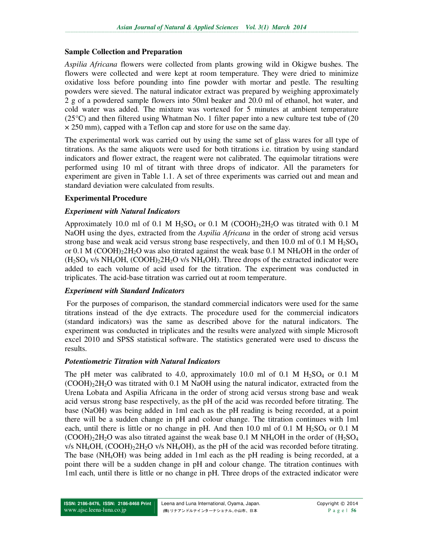## **Sample Collection and Preparation**

*Aspilia Africana* flowers were collected from plants growing wild in Okigwe bushes. The flowers were collected and were kept at room temperature. They were dried to minimize oxidative loss before pounding into fine powder with mortar and pestle. The resulting powders were sieved. The natural indicator extract was prepared by weighing approximately 2 g of a powdered sample flowers into 50ml beaker and 20.0 ml of ethanol, hot water, and cold water was added. The mixture was vortexed for 5 minutes at ambient temperature  $(25^{\circ}C)$  and then filtered using Whatman No. 1 filter paper into a new culture test tube of (20)  $\times$  250 mm), capped with a Teflon cap and store for use on the same day.

The experimental work was carried out by using the same set of glass wares for all type of titrations. As the same aliquots were used for both titrations i.e. titration by using standard indicators and flower extract, the reagent were not calibrated. The equimolar titrations were performed using 10 ml of titrant with three drops of indicator. All the parameters for experiment are given in Table 1.1. A set of three experiments was carried out and mean and standard deviation were calculated from results.

# **Experimental Procedure**

## *Experiment with Natural Indicators*

Approximately 10.0 ml of 0.1 M  $H_2SO_4$  or 0.1 M (COOH) $_22H_2O$  was titrated with 0.1 M NaOH using the dyes, extracted from the *Aspilia Africana* in the order of strong acid versus strong base and weak acid versus strong base respectively, and then 10.0 ml of 0.1 M  $H<sub>2</sub>SO<sub>4</sub>$ or 0.1 M (COOH) $_2$ 2H<sub>2</sub>O was also titrated against the weak base 0.1 M NH<sub>4</sub>OH in the order of  $(H<sub>2</sub>SO<sub>4</sub>$  v/s NH<sub>4</sub>OH, (COOH)<sub>2</sub>2H<sub>2</sub>O v/s NH<sub>4</sub>OH). Three drops of the extracted indicator were added to each volume of acid used for the titration. The experiment was conducted in triplicates. The acid-base titration was carried out at room temperature.

#### *Experiment with Standard Indicators*

 For the purposes of comparison, the standard commercial indicators were used for the same titrations instead of the dye extracts. The procedure used for the commercial indicators (standard indicators) was the same as described above for the natural indicators. The experiment was conducted in triplicates and the results were analyzed with simple Microsoft excel 2010 and SPSS statistical software. The statistics generated were used to discuss the results.

#### *Potentiometric Titration with Natural Indicators*

The pH meter was calibrated to 4.0, approximately 10.0 ml of 0.1 M  $H_2SO_4$  or 0.1 M  $(COOH<sub>2</sub>2H<sub>2</sub>O$  was titrated with 0.1 M NaOH using the natural indicator, extracted from the Urena Lobata and Aspilia Africana in the order of strong acid versus strong base and weak acid versus strong base respectively, as the pH of the acid was recorded before titrating. The base (NaOH) was being added in 1ml each as the pH reading is being recorded, at a point there will be a sudden change in pH and colour change. The titration continues with 1ml each, until there is little or no change in pH. And then 10.0 ml of 0.1 M  $H_2SO_4$  or 0.1 M  $(COOH)<sub>2</sub>2H<sub>2</sub>O$  was also titrated against the weak base 0.1 M NH<sub>4</sub>OH in the order of  $(H<sub>2</sub>SO<sub>4</sub>)$  $v/s$  NH<sub>4</sub>OH,  $(COOH)_22H_2O$  v/s NH<sub>4</sub>OH), as the pH of the acid was recorded before titrating. The base (NH4OH) was being added in 1ml each as the pH reading is being recorded, at a point there will be a sudden change in pH and colour change. The titration continues with 1ml each, until there is little or no change in pH. Three drops of the extracted indicator were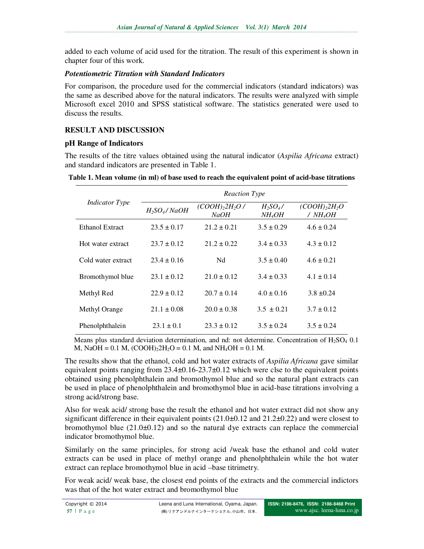added to each volume of acid used for the titration. The result of this experiment is shown in chapter four of this work.

## *Potentiometric Titration with Standard Indicators*

For comparison, the procedure used for the commercial indicators (standard indicators) was the same as described above for the natural indicators. The results were analyzed with simple Microsoft excel 2010 and SPSS statistical software. The statistics generated were used to discuss the results.

# **RESULT AND DISCUSSION**

# **pH Range of Indicators**

The results of the titre values obtained using the natural indicator (*Aspilia Africana* extract) and standard indicators are presented in Table 1.

| Table 1. Mean volume (in ml) of base used to reach the equivalent point of acid-base titrations |  |
|-------------------------------------------------------------------------------------------------|--|
|                                                                                                 |  |

| <i>Indicator Type</i> | <b>Reaction Type</b> |                               |                                  |                                        |  |
|-----------------------|----------------------|-------------------------------|----------------------------------|----------------------------------------|--|
|                       | $H_2SO_4/NaOH$       | $(COOH)_{2}2H_{2}O$ /<br>NaOH | $H_2SO_4/$<br>NH <sub>4</sub> OH | $(COOH)_22H_2O$<br>/NH <sub>4</sub> OH |  |
| Ethanol Extract       | $23.5 \pm 0.17$      | $21.2 \pm 0.21$               | $3.5 \pm 0.29$                   | $4.6 \pm 0.24$                         |  |
| Hot water extract     | $23.7 \pm 0.12$      | $21.2 \pm 0.22$               | $3.4 \pm 0.33$                   | $4.3 \pm 0.12$                         |  |
| Cold water extract    | $23.4 \pm 0.16$      | Nd                            | $3.5 \pm 0.40$                   | $4.6 \pm 0.21$                         |  |
| Bromothymol blue      | $23.1 \pm 0.12$      | $21.0 \pm 0.12$               | $3.4 \pm 0.33$                   | $4.1 \pm 0.14$                         |  |
| Methyl Red            | $22.9 \pm 0.12$      | $20.7 \pm 0.14$               | $4.0 + 0.16$                     | $3.8 \pm 0.24$                         |  |
| Methyl Orange         | $21.1 \pm 0.08$      | $20.0 \pm 0.38$               | $3.5 \pm 0.21$                   | $3.7 \pm 0.12$                         |  |
| Phenolphthalein       | $23.1 \pm 0.1$       | $23.3 \pm 0.12$               | $3.5 \pm 0.24$                   | $3.5 \pm 0.24$                         |  |

Means plus standard deviation determination, and nd: not determine. Concentration of  $H_2SO_4$  0.1 M, NaOH =  $0.1$  M,  $(COOH)_{2}H_{2}O = 0.1$  M, and NH<sub>4</sub>OH =  $0.1$  M.

The results show that the ethanol, cold and hot water extracts of *Aspilia Africana* gave similar equivalent points ranging from 23.4±0.16-23.7±0.12 which were clse to the equivalent points obtained using phenolphthalein and bromothymol blue and so the natural plant extracts can be used in place of phenolphthalein and bromothymol blue in acid-base titrations involving a strong acid/strong base.

Also for weak acid/ strong base the result the ethanol and hot water extract did not show any significant difference in their equivalent points  $(21.0\pm0.12$  and  $21.2\pm0.22)$  and were closest to bromothymol blue  $(21.0\pm0.12)$  and so the natural dye extracts can replace the commercial indicator bromothymol blue.

Similarly on the same principles, for strong acid /weak base the ethanol and cold water extracts can be used in place of methyl orange and phenolphthalein while the hot water extract can replace bromothymol blue in acid –base titrimetry.

For weak acid/ weak base, the closest end points of the extracts and the commercial indictors was that of the hot water extract and bromothymol blue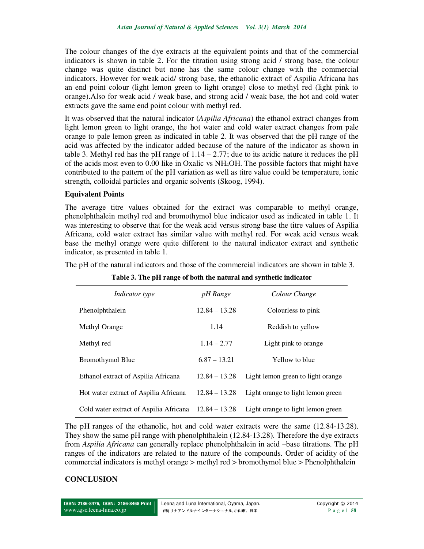The colour changes of the dye extracts at the equivalent points and that of the commercial indicators is shown in table 2. For the titration using strong acid / strong base, the colour change was quite distinct but none has the same colour change with the commercial indicators. However for weak acid/ strong base, the ethanolic extract of Aspilia Africana has an end point colour (light lemon green to light orange) close to methyl red (light pink to orange).Also for weak acid / weak base, and strong acid / weak base, the hot and cold water extracts gave the same end point colour with methyl red.

It was observed that the natural indicator (*Aspilia Africana*) the ethanol extract changes from light lemon green to light orange, the hot water and cold water extract changes from pale orange to pale lemon green as indicated in table 2. It was observed that the pH range of the acid was affected by the indicator added because of the nature of the indicator as shown in table 3. Methyl red has the pH range of  $1.14 - 2.77$ ; due to its acidic nature it reduces the pH of the acids most even to 0.00 like in Oxalic vs NH4OH. The possible factors that might have contributed to the pattern of the pH variation as well as titre value could be temperature, ionic strength, colloidal particles and organic solvents (Skoog, 1994).

## **Equivalent Points**

The average titre values obtained for the extract was comparable to methyl orange, phenolphthalein methyl red and bromothymol blue indicator used as indicated in table 1. It was interesting to observe that for the weak acid versus strong base the titre values of Aspilia Africana, cold water extract has similar value with methyl red. For weak acid versus weak base the methyl orange were quite different to the natural indicator extract and synthetic indicator, as presented in table 1.

The pH of the natural indicators and those of the commercial indicators are shown in table 3.

| <i>Indicator type</i>                  | pH Range        | Colour Change                     |  |
|----------------------------------------|-----------------|-----------------------------------|--|
| Phenolphthalein                        | $12.84 - 13.28$ | Colourless to pink                |  |
| Methyl Orange                          | 1.14            | Reddish to yellow                 |  |
| Methyl red                             | $1.14 - 2.77$   | Light pink to orange              |  |
| Bromothymol Blue                       | $6.87 - 13.21$  | Yellow to blue                    |  |
| Ethanol extract of Aspilia Africana    | $12.84 - 13.28$ | Light lemon green to light orange |  |
| Hot water extract of Aspilia Africana  | $12.84 - 13.28$ | Light orange to light lemon green |  |
| Cold water extract of Aspilia Africana | $12.84 - 13.28$ | Light orange to light lemon green |  |

**Table 3. The pH range of both the natural and synthetic indicator**

The pH ranges of the ethanolic, hot and cold water extracts were the same (12.84-13.28). They show the same pH range with phenolphthalein (12.84-13.28). Therefore the dye extracts from *Aspilia Africana* can generally replace phenolphthalein in acid –base titrations. The pH ranges of the indicators are related to the nature of the compounds. Order of acidity of the commercial indicators is methyl orange > methyl red > bromothymol blue > Phenolphthalein

# **CONCLUSION**

**ISSN: 2186-8476, ISSN: 2186-8468 Print**  www.ajsc.leena-luna.co.jp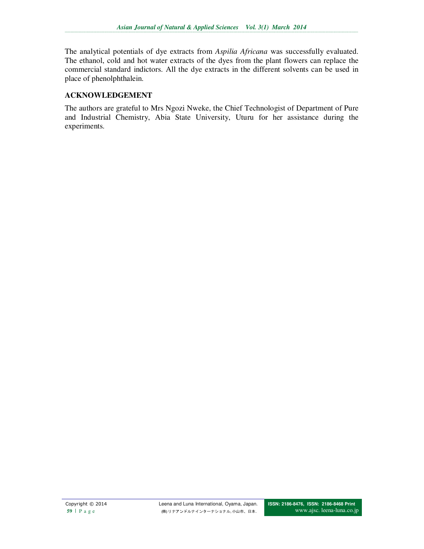The analytical potentials of dye extracts from *Aspilia Africana* was successfully evaluated. The ethanol, cold and hot water extracts of the dyes from the plant flowers can replace the commercial standard indictors. All the dye extracts in the different solvents can be used in place of phenolphthalein.

# **ACKNOWLEDGEMENT**

The authors are grateful to Mrs Ngozi Nweke, the Chief Technologist of Department of Pure and Industrial Chemistry, Abia State University, Uturu for her assistance during the experiments.